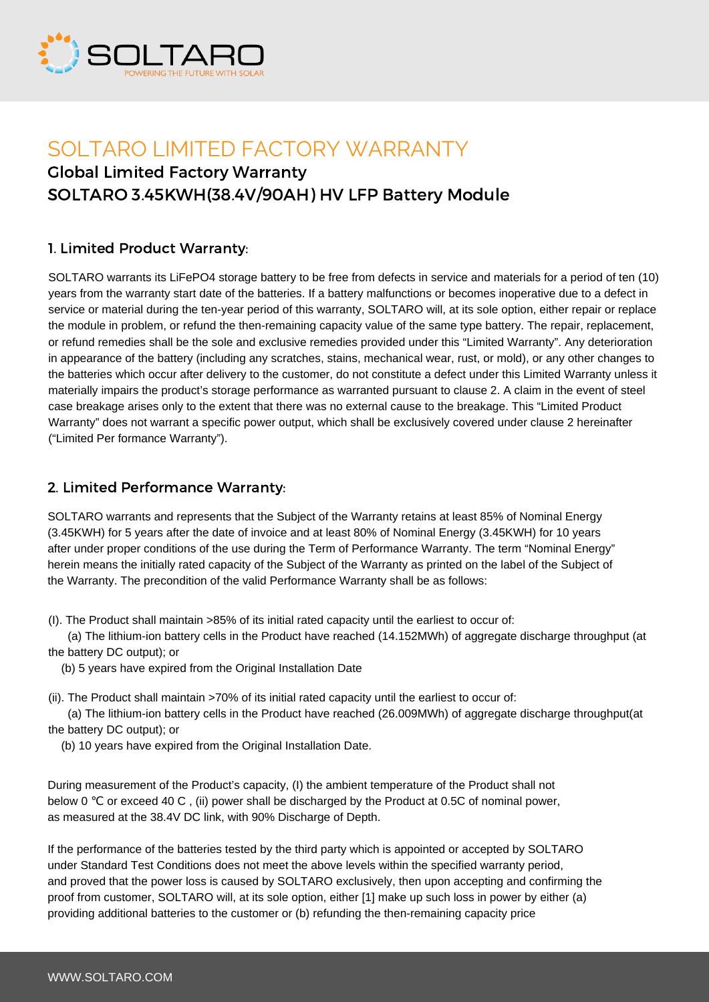

# SOLTARO LIMITED FACTORY WARRANTY Global Limited Factory Warranty SOLTARO 3.45KWH(38.4V/90AH) HV LFP Battery Module

### 1. Limited Product Warranty:

SOLTARO warrants its LiFePO4 storage battery to be free from defects in service and materials for a period of ten (10) years from the warranty start date of the batteries. If a battery malfunctions or becomes inoperative due to a defect in service or material during the ten-year period of this warranty, SOLTARO will, at its sole option, either repair or replace the module in problem, or refund the then-remaining capacity value of the same type battery. The repair, replacement, or refund remedies shall be the sole and exclusive remedies provided under this "Limited Warranty". Any deterioration in appearance of the battery (including any scratches, stains, mechanical wear, rust, or mold), or any other changes to the batteries which occur after delivery to the customer, do not constitute a defect under this Limited Warranty unless it materially impairs the product's storage performance as warranted pursuant to clause 2. A claim in the event of steel case breakage arises only to the extent that there was no external cause to the breakage. This "Limited Product Warranty" does not warrant a specific power output, which shall be exclusively covered under clause 2 hereinafter ("Limited Per formance Warranty").

#### 2. Limited Performance Warranty:

SOLTARO warrants and represents that the Subject of the Warranty retains at least 85% of Nominal Energy (3.45KWH) for 5 years after the date of invoice and at least 80% of Nominal Energy (3.45KWH) for 10 years after under proper conditions of the use during the Term of Performance Warranty. The term "Nominal Energy" herein means the initially rated capacity of the Subject of the Warranty as printed on the label of the Subject of the Warranty. The precondition of the valid Performance Warranty shall be as follows:

(I). The Product shall maintain >85% of its initial rated capacity until the earliest to occur of:

 (a) The lithium-ion battery cells in the Product have reached (14.152MWh) of aggregate discharge throughput (at the battery DC output); or

(b) 5 years have expired from the Original Installation Date

(ii). The Product shall maintain >70% of its initial rated capacity until the earliest to occur of:

 (a) The lithium-ion battery cells in the Product have reached (26.009MWh) of aggregate discharge throughput(at the battery DC output); or

(b) 10 years have expired from the Original Installation Date.

During measurement of the Product's capacity, (I) the ambient temperature of the Product shall not below 0 ℃ or exceed 40 C , (ii) power shall be discharged by the Product at 0.5C of nominal power, as measured at the 38.4V DC link, with 90% Discharge of Depth.

If the performance of the batteries tested by the third party which is appointed or accepted by SOLTARO under Standard Test Conditions does not meet the above levels within the specified warranty period, and proved that the power loss is caused by SOLTARO exclusively, then upon accepting and confirming the proof from customer, SOLTARO will, at its sole option, either [1] make up such loss in power by either (a) providing additional batteries to the customer or (b) refunding the then-remaining capacity price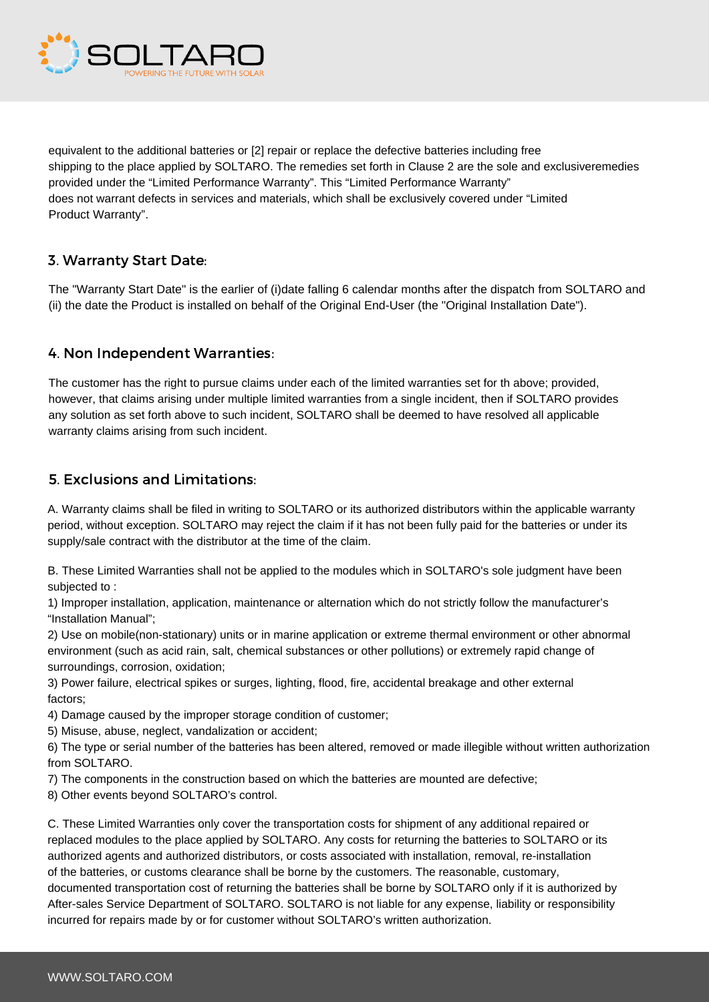

equivalent to the additional batteries or [2] repair or replace the defective batteries including free shipping to the place applied by SOLTARO. The remedies set forth in Clause 2 are the sole and exclusiveremedies provided under the "Limited Performance Warranty". This "Limited Performance Warranty" does not warrant defects in services and materials, which shall be exclusively covered under "Limited Product Warranty".

### 3. Warranty Start Date:

The "Warranty Start Date" is the earlier of (i)date falling 6 calendar months after the dispatch from SOLTARO and (ii) the date the Product is installed on behalf of the Original End-User (the "Original Installation Date").

### 4. Non Independent Warranties:

The customer has the right to pursue claims under each of the limited warranties set for th above; provided, however, that claims arising under multiple limited warranties from a single incident, then if SOLTARO provides any solution as set forth above to such incident, SOLTARO shall be deemed to have resolved all applicable warranty claims arising from such incident.

### 5. Exclusions and Limitations:

A. Warranty claims shall be filed in writing to SOLTARO or its authorized distributors within the applicable warranty period, without exception. SOLTARO may reject the claim if it has not been fully paid for the batteries or under its supply/sale contract with the distributor at the time of the claim.

B. These Limited Warranties shall not be applied to the modules which in SOLTARO's sole judgment have been subjected to :

1) Improper installation, application, maintenance or alternation which do not strictly follow the manufacturer's "Installation Manual";

2) Use on mobile(non-stationary) units or in marine application or extreme thermal environment or other abnormal environment (such as acid rain, salt, chemical substances or other pollutions) or extremely rapid change of surroundings, corrosion, oxidation;

3) Power failure, electrical spikes or surges, lighting, flood, fire, accidental breakage and other external factors;

4) Damage caused by the improper storage condition of customer;

5) Misuse, abuse, neglect, vandalization or accident;

6) The type or serial number of the batteries has been altered, removed or made illegible without written authorization from SOLTARO.

7) The components in the construction based on which the batteries are mounted are defective;

8) Other events beyond SOLTARO's control.

C. These Limited Warranties only cover the transportation costs for shipment of any additional repaired or replaced modules to the place applied by SOLTARO. Any costs for returning the batteries to SOLTARO or its authorized agents and authorized distributors, or costs associated with installation, removal, re-installation of the batteries, or customs clearance shall be borne by the customers. The reasonable, customary, documented transportation cost of returning the batteries shall be borne by SOLTARO only if it is authorized by After-sales Service Department of SOLTARO. SOLTARO is not liable for any expense, liability or responsibility incurred for repairs made by or for customer without SOLTARO's written authorization.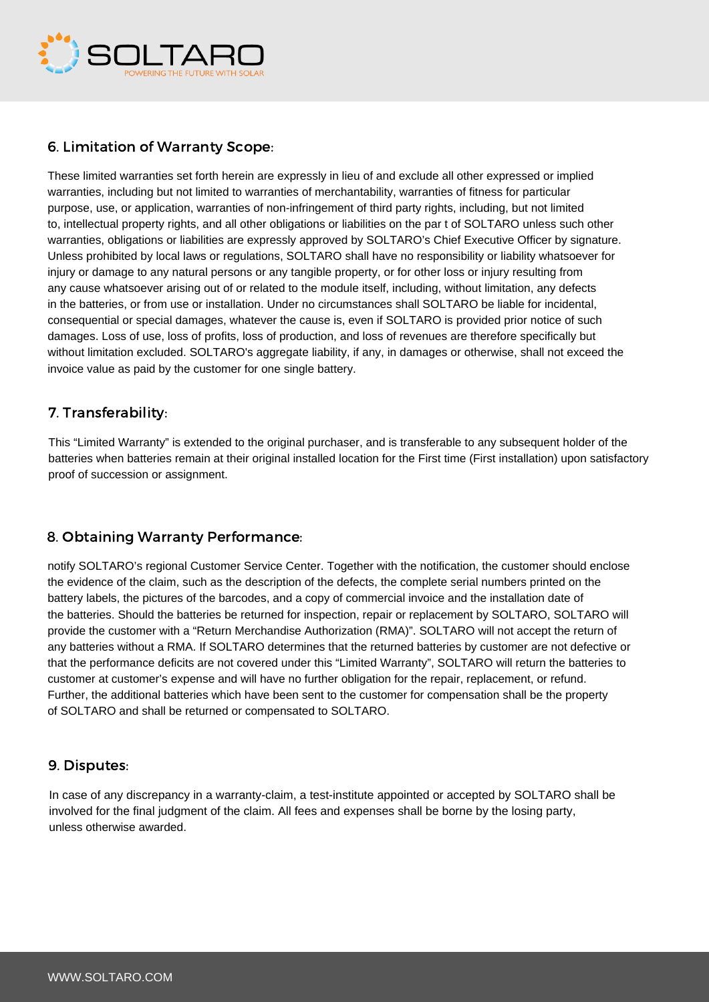

## 6. Limitation of Warranty Scope:

These limited warranties set forth herein are expressly in lieu of and exclude all other expressed or implied warranties, including but not limited to warranties of merchantability, warranties of fitness for particular purpose, use, or application, warranties of non-infringement of third party rights, including, but not limited to, intellectual property rights, and all other obligations or liabilities on the par t of SOLTARO unless such other warranties, obligations or liabilities are expressly approved by SOLTARO's Chief Executive Officer by signature. Unless prohibited by local laws or regulations, SOLTARO shall have no responsibility or liability whatsoever for injury or damage to any natural persons or any tangible property, or for other loss or injury resulting from any cause whatsoever arising out of or related to the module itself, including, without limitation, any defects in the batteries, or from use or installation. Under no circumstances shall SOLTARO be liable for incidental, consequential or special damages, whatever the cause is, even if SOLTARO is provided prior notice of such damages. Loss of use, loss of profits, loss of production, and loss of revenues are therefore specifically but without limitation excluded. SOLTARO's aggregate liability, if any, in damages or otherwise, shall not exceed the invoice value as paid by the customer for one single battery.

#### 7. Transferability:

This "Limited Warranty" is extended to the original purchaser, and is transferable to any subsequent holder of the batteries when batteries remain at their original installed location for the First time (First installation) upon satisfactory proof of succession or assignment.

## 8. Obtaining Warranty Performance:

notify SOLTARO's regional Customer Service Center. Together with the notification, the customer should enclose the evidence of the claim, such as the description of the defects, the complete serial numbers printed on the battery labels, the pictures of the barcodes, and a copy of commercial invoice and the installation date of the batteries. Should the batteries be returned for inspection, repair or replacement by SOLTARO, SOLTARO will provide the customer with a "Return Merchandise Authorization (RMA)". SOLTARO will not accept the return of any batteries without a RMA. If SOLTARO determines that the returned batteries by customer are not defective or that the performance deficits are not covered under this "Limited Warranty", SOLTARO will return the batteries to customer at customer's expense and will have no further obligation for the repair, replacement, or refund. Further, the additional batteries which have been sent to the customer for compensation shall be the property of SOLTARO and shall be returned or compensated to SOLTARO.

#### 9. Disputes:

In case of any discrepancy in a warranty-claim, a test-institute appointed or accepted by SOLTARO shall be involved for the final judgment of the claim. All fees and expenses shall be borne by the losing party, unless otherwise awarded.